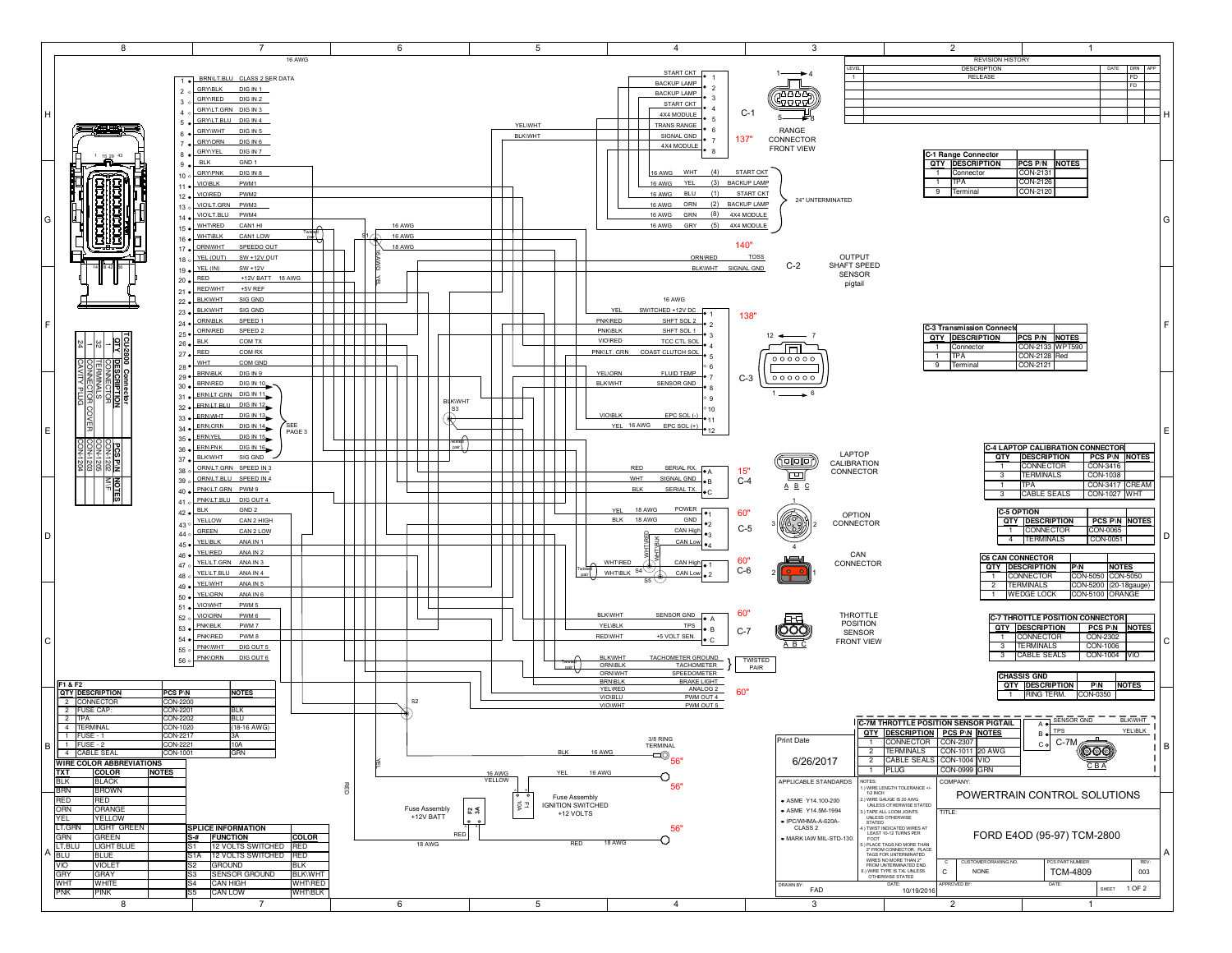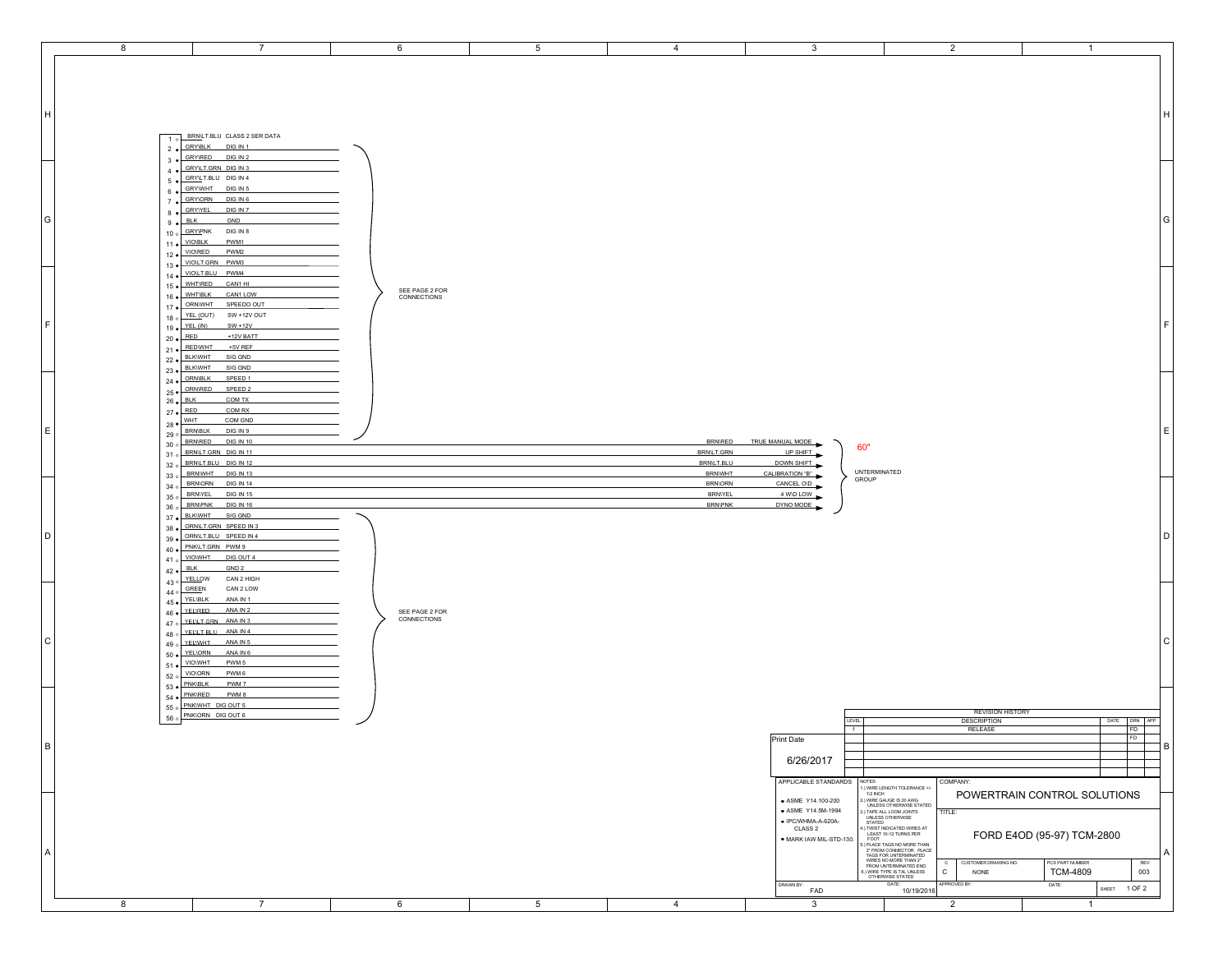| 8 | $\overline{7}$                                                         | 6                             | $5\phantom{.0}$ | $\overline{4}$                     | $\mathbf{3}$                  |                                                                                                                                                                                                                                                                   | $\overline{2}$                     | $\mathbf{1}$                 |                    |   |
|---|------------------------------------------------------------------------|-------------------------------|-----------------|------------------------------------|-------------------------------|-------------------------------------------------------------------------------------------------------------------------------------------------------------------------------------------------------------------------------------------------------------------|------------------------------------|------------------------------|--------------------|---|
|   |                                                                        |                               |                 |                                    |                               |                                                                                                                                                                                                                                                                   |                                    |                              |                    |   |
|   |                                                                        |                               |                 |                                    |                               |                                                                                                                                                                                                                                                                   |                                    |                              |                    |   |
|   |                                                                        |                               |                 |                                    |                               |                                                                                                                                                                                                                                                                   |                                    |                              |                    |   |
|   |                                                                        |                               |                 |                                    |                               |                                                                                                                                                                                                                                                                   |                                    |                              |                    |   |
|   |                                                                        |                               |                 |                                    |                               |                                                                                                                                                                                                                                                                   |                                    |                              |                    |   |
|   |                                                                        |                               |                 |                                    |                               |                                                                                                                                                                                                                                                                   |                                    |                              |                    | н |
|   |                                                                        |                               |                 |                                    |                               |                                                                                                                                                                                                                                                                   |                                    |                              |                    |   |
|   | BRNLT.BLU CLASS 2 SER DATA<br>$\overline{10}$                          |                               |                 |                                    |                               |                                                                                                                                                                                                                                                                   |                                    |                              |                    |   |
|   | <b>GRY\BLK</b><br>DIG IN 1<br>$2 \bullet$                              |                               |                 |                                    |                               |                                                                                                                                                                                                                                                                   |                                    |                              |                    |   |
|   | GRY\RED DIG IN 2<br>$3 \bullet$                                        |                               |                 |                                    |                               |                                                                                                                                                                                                                                                                   |                                    |                              |                    |   |
|   | 4 . GRYLT.GRN DIG IN 3<br>5 · GRYLT.BLU DIG IN 4                       |                               |                 |                                    |                               |                                                                                                                                                                                                                                                                   |                                    |                              |                    |   |
|   | 6 GRYWHT DIG IN 5                                                      |                               |                 |                                    |                               |                                                                                                                                                                                                                                                                   |                                    |                              |                    |   |
|   | GRY\ORN DIG IN 6                                                       |                               |                 |                                    |                               |                                                                                                                                                                                                                                                                   |                                    |                              |                    |   |
|   | $7 \bullet$<br>GRYIYEL<br>DIG IN 7<br>$8 \bullet$                      |                               |                 |                                    |                               |                                                                                                                                                                                                                                                                   |                                    |                              |                    |   |
|   | $9 \bullet$ BLK<br>GND                                                 |                               |                 |                                    |                               |                                                                                                                                                                                                                                                                   |                                    |                              |                    | G |
|   | 10 o GRYPNK DIG IN 8                                                   |                               |                 |                                    |                               |                                                                                                                                                                                                                                                                   |                                    |                              |                    |   |
|   | <b>VIO\BLK</b><br>PWM1<br>$11 \bullet$                                 |                               |                 |                                    |                               |                                                                                                                                                                                                                                                                   |                                    |                              |                    |   |
|   | 12 . VIOIRED<br>PWM2                                                   |                               |                 |                                    |                               |                                                                                                                                                                                                                                                                   |                                    |                              |                    |   |
|   | 13 · VIOLT.GRN PWM3                                                    |                               |                 |                                    |                               |                                                                                                                                                                                                                                                                   |                                    |                              |                    |   |
|   | 14 · VIOLT.BLU PWM4                                                    |                               |                 |                                    |                               |                                                                                                                                                                                                                                                                   |                                    |                              |                    |   |
|   | 15 . WHTRED CAN1 HI                                                    |                               |                 |                                    |                               |                                                                                                                                                                                                                                                                   |                                    |                              |                    |   |
|   | 16 · WHT\BLK<br>CAN1 LOW                                               | SEE PAGE 2 FOR<br>CONNECTIONS |                 |                                    |                               |                                                                                                                                                                                                                                                                   |                                    |                              |                    |   |
|   | 17 . ORNWHT SPEEDO OUT                                                 |                               |                 |                                    |                               |                                                                                                                                                                                                                                                                   |                                    |                              |                    |   |
|   | 18 o YEL (OUT) SW + 12V OUT                                            |                               |                 |                                    |                               |                                                                                                                                                                                                                                                                   |                                    |                              |                    |   |
|   | 19 · YEL (IN)<br>$SW + 12V$                                            |                               |                 |                                    |                               |                                                                                                                                                                                                                                                                   |                                    |                              |                    | E |
|   | $20 \bullet \overline{\overline{\text{RED}}}$<br>+12V BATT             |                               |                 |                                    |                               |                                                                                                                                                                                                                                                                   |                                    |                              |                    |   |
|   | 21 . REDWHT +5V REF                                                    |                               |                 |                                    |                               |                                                                                                                                                                                                                                                                   |                                    |                              |                    |   |
|   | 22 · BLKWHT<br>SIG GND<br>23 . BLKWHT<br>SIG GND                       |                               |                 |                                    |                               |                                                                                                                                                                                                                                                                   |                                    |                              |                    |   |
|   | 24 . ORNBLK<br>SPEED 1                                                 |                               |                 |                                    |                               |                                                                                                                                                                                                                                                                   |                                    |                              |                    |   |
|   | 25 • ORNIRED SPEED 2                                                   |                               |                 |                                    |                               |                                                                                                                                                                                                                                                                   |                                    |                              |                    |   |
|   | $26 \bullet$ BLK<br>COM TX                                             |                               |                 |                                    |                               |                                                                                                                                                                                                                                                                   |                                    |                              |                    |   |
|   | $27 \cdot \overline{RED}$<br>COM RX                                    |                               |                 |                                    |                               |                                                                                                                                                                                                                                                                   |                                    |                              |                    |   |
|   | $28 \bullet $<br>COM GND                                               |                               |                 |                                    |                               |                                                                                                                                                                                                                                                                   |                                    |                              |                    |   |
|   | 29 o BRNBLK DIG IN 9                                                   |                               |                 |                                    |                               |                                                                                                                                                                                                                                                                   |                                    |                              |                    | Е |
|   | 30 o BRNRED DIG IN 10                                                  |                               |                 | <b>BRN/RED</b>                     | TRUE MANUAL MODE              | 60"                                                                                                                                                                                                                                                               |                                    |                              |                    |   |
|   | 31 o BRNLT.GRN DIG IN 11                                               |                               |                 | BRN/LT.GRN                         | UP SHIFT                      |                                                                                                                                                                                                                                                                   |                                    |                              |                    |   |
|   | 32 o BRNLT.BLU DIG IN 12<br>33 o BRNWHT DIG IN 13                      |                               |                 | <b>BRN/LT.BLU</b><br><b>BRNWHT</b> | DOWN SHIFT<br>CALIBRATION "B" | UNTERMINATED                                                                                                                                                                                                                                                      |                                    |                              |                    |   |
|   | 34 o BRNORN DIG IN 14                                                  |                               |                 | <b>BRN\ORN</b>                     | CANCEL OID                    | GROUP                                                                                                                                                                                                                                                             |                                    |                              |                    |   |
|   | 35 o BRNYEL DIG IN 15                                                  |                               |                 | <b>BRNIYEL</b>                     | 4 WD LOW                      |                                                                                                                                                                                                                                                                   |                                    |                              |                    |   |
|   | 36 o BRNPNK DIG IN 16                                                  |                               |                 | <b>BRN\PNK</b>                     | DYNO MODE                     |                                                                                                                                                                                                                                                                   |                                    |                              |                    |   |
|   | BLK\WHT SIG GND<br>$37 \bullet$                                        |                               |                 |                                    |                               |                                                                                                                                                                                                                                                                   |                                    |                              |                    |   |
|   | 38 . ORNILT.GRN SPEED IN 3                                             |                               |                 |                                    |                               |                                                                                                                                                                                                                                                                   |                                    |                              |                    |   |
|   | 39 . ORNLT.BLU SPEED IN 4                                              |                               |                 |                                    |                               |                                                                                                                                                                                                                                                                   |                                    |                              |                    | D |
|   | 40 · PNKLT.GRN PWM9                                                    |                               |                 |                                    |                               |                                                                                                                                                                                                                                                                   |                                    |                              |                    |   |
|   | 41 o VIOWHT<br>DIG OUT 4<br>GND <sub>2</sub>                           |                               |                 |                                    |                               |                                                                                                                                                                                                                                                                   |                                    |                              |                    |   |
|   | $42 \bullet \overline{\phantom{1em}}$ BLK<br>43 o YELLOW<br>CAN 2 HIGH |                               |                 |                                    |                               |                                                                                                                                                                                                                                                                   |                                    |                              |                    |   |
|   | $44 \circ \overline{\overline{\text{GREEN}}}$<br>CAN 2 LOW             |                               |                 |                                    |                               |                                                                                                                                                                                                                                                                   |                                    |                              |                    |   |
|   | 45 · YEL\BLK<br>ANA IN 1                                               |                               |                 |                                    |                               |                                                                                                                                                                                                                                                                   |                                    |                              |                    |   |
|   | 46 · YELIRED<br>ANA IN 2                                               | SEE PAGE 2 FOR                |                 |                                    |                               |                                                                                                                                                                                                                                                                   |                                    |                              |                    |   |
|   | 47 o YELLT GRN ANA IN 3                                                | CONNECTIONS                   |                 |                                    |                               |                                                                                                                                                                                                                                                                   |                                    |                              |                    |   |
|   | 48 o YELLT BLU ANA IN 4                                                |                               |                 |                                    |                               |                                                                                                                                                                                                                                                                   |                                    |                              |                    |   |
|   | 49 o YELWHI<br>ANA IN 5                                                |                               |                 |                                    |                               |                                                                                                                                                                                                                                                                   |                                    |                              |                    | C |
|   | 50 · YELIORN<br>ANA IN 6                                               |                               |                 |                                    |                               |                                                                                                                                                                                                                                                                   |                                    |                              |                    |   |
|   | 51 . VIOWHT PWM5                                                       |                               |                 |                                    |                               |                                                                                                                                                                                                                                                                   |                                    |                              |                    |   |
|   | 52 o VIOLORN PWM 6<br>53 . PNK\BLK<br>PWM 7                            |                               |                 |                                    |                               |                                                                                                                                                                                                                                                                   |                                    |                              |                    |   |
|   | <b>PNK\RED</b><br>PWM 8                                                |                               |                 |                                    |                               |                                                                                                                                                                                                                                                                   |                                    |                              |                    |   |
|   | $54$ $\bullet$<br>55 o PNKWHT DIG OUT 5                                |                               |                 |                                    |                               |                                                                                                                                                                                                                                                                   |                                    |                              |                    |   |
|   | 56 o PNKIORN DIG OUT 6                                                 |                               |                 |                                    |                               |                                                                                                                                                                                                                                                                   | <b>REVISION HISTORY</b>            |                              |                    |   |
|   |                                                                        |                               |                 |                                    |                               | LEVEL<br>$\overline{1}$                                                                                                                                                                                                                                           | <b>DESCRIPTION</b><br>RELEASE      |                              | DATE DRN APP<br>FD |   |
|   |                                                                        |                               |                 |                                    | Print Date                    |                                                                                                                                                                                                                                                                   |                                    |                              | FD                 |   |
|   |                                                                        |                               |                 |                                    |                               |                                                                                                                                                                                                                                                                   |                                    |                              |                    | B |
|   |                                                                        |                               |                 |                                    | 6/26/2017                     |                                                                                                                                                                                                                                                                   |                                    |                              |                    |   |
|   |                                                                        |                               |                 |                                    |                               |                                                                                                                                                                                                                                                                   |                                    |                              |                    |   |
|   |                                                                        |                               |                 |                                    | APPLICABLE STANDARDS          | NOTES:<br>:.)<br>WIRE LENGTH TOLERANCE +<br>1/2 INCH                                                                                                                                                                                                              | COMPANY:                           |                              |                    |   |
|   |                                                                        |                               |                 |                                    | • ASME Y14.100-200            | .) WIRE GAUGE IS 20 AWG                                                                                                                                                                                                                                           |                                    | POWERTRAIN CONTROL SOLUTIONS |                    |   |
|   |                                                                        |                               |                 |                                    |                               |                                                                                                                                                                                                                                                                   | TITLE:                             |                              |                    |   |
|   |                                                                        |                               |                 |                                    | • ASME Y14.5M-1994            |                                                                                                                                                                                                                                                                   |                                    |                              |                    |   |
|   |                                                                        |                               |                 |                                    |                               |                                                                                                                                                                                                                                                                   |                                    |                              |                    |   |
|   |                                                                        |                               |                 |                                    | • IPC/WHMA-A-620A-<br>CLASS 2 | E.) WHE SS OTHERWISE STATED<br>3.) TAPE ALL LOOM JOINTS<br>3.) TAPE ALL LOOM JOINTS<br>5 STATED<br>5 STATED                                                                                                                                                       |                                    |                              |                    |   |
|   |                                                                        |                               |                 |                                    | · MARK IAW MIL-STD-130.       |                                                                                                                                                                                                                                                                   |                                    | FORD E4OD (95-97) TCM-2800   |                    |   |
|   |                                                                        |                               |                 |                                    |                               |                                                                                                                                                                                                                                                                   |                                    |                              |                    | A |
|   |                                                                        |                               |                 |                                    |                               |                                                                                                                                                                                                                                                                   | CUSTOMER DRAWING NO.<br>$_{\rm c}$ | PCS PART NUMBER              | REV:               |   |
|   |                                                                        |                               |                 |                                    |                               | STATED<br>STATED WIRES AT LEAST TO-12 TURNS PER<br>LEAST TO-12 TURNS PER<br>STOT COTTAINS PER<br>TOOT TO-12 TURNS PER<br>TAGS FOR UNTERMINATED<br>TAGS NO MORE THAN 2<br>FROM UNTERMINATED<br>FROM UNTERMINATED<br>SURE TYPE IS TAL UNLESS<br>OTH<br>$\mathtt{C}$ | NONE                               | <b>TCM-4809</b>              | 003                |   |
|   |                                                                        |                               |                 |                                    | DRAWN BY:<br>FAD              | DATE:<br>10/19/2016                                                                                                                                                                                                                                               | APPROVED BY:                       | DATE:                        | SHEET 1 OF 2       |   |

H

G

F

E

D

C

A